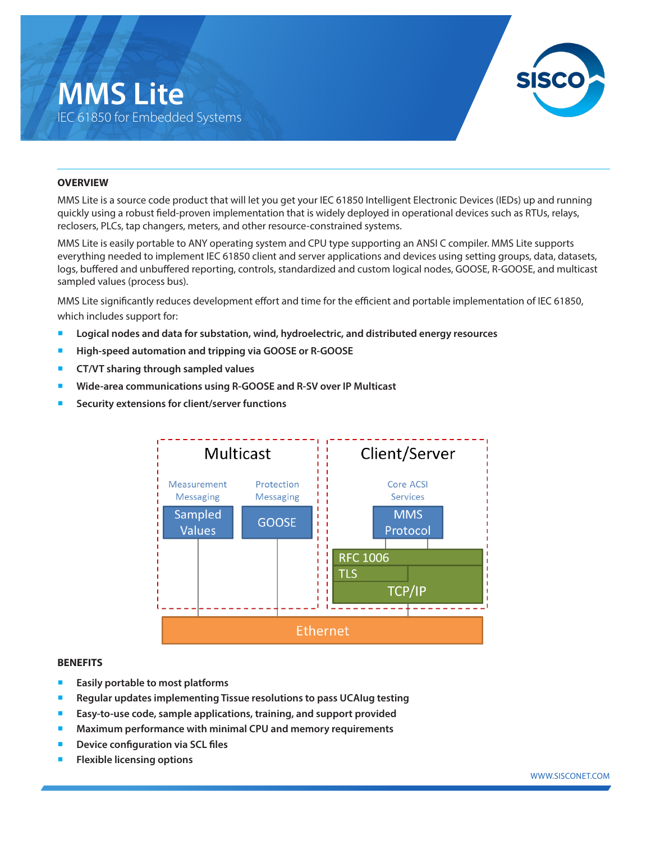## **MMS Lite** IEC 61850 for Embedded Systems



#### **OVERVIEW**

MMS Lite is a source code product that will let you get your IEC 61850 Intelligent Electronic Devices (IEDs) up and running quickly using a robust field-proven implementation that is widely deployed in operational devices such as RTUs, relays, reclosers, PLCs, tap changers, meters, and other resource-constrained systems.

MMS Lite is easily portable to ANY operating system and CPU type supporting an ANSI C compiler. MMS Lite supports everything needed to implement IEC 61850 client and server applications and devices using setting groups, data, datasets, logs, buffered and unbuffered reporting, controls, standardized and custom logical nodes, GOOSE, R-GOOSE, and multicast sampled values (process bus).

MMS Lite significantly reduces development effort and time for the efficient and portable implementation of IEC 61850, which includes support for:

- Logical nodes and data for substation, wind, hydroelectric, and distributed energy resources
- ¡ **High-speed automation and tripping via GOOSE or R-GOOSE**
- ¡ **CT/VT sharing through sampled values**
- ¡ **Wide-area communications using R-GOOSE and R-SV over IP Multicast**
- Security extensions for client/server functions



#### **BENEFITS**

- **Easily portable to most platforms**
- ¡ **Regular updates implementing Tissue resolutions to pass UCAIug testing**
- ¡ **Easy-to-use code, sample applications, training, and support provided**
- ¡ **Maximum performance with minimal CPU and memory requirements**
- **Device configuration via SCL files**
- **Flexible licensing options**